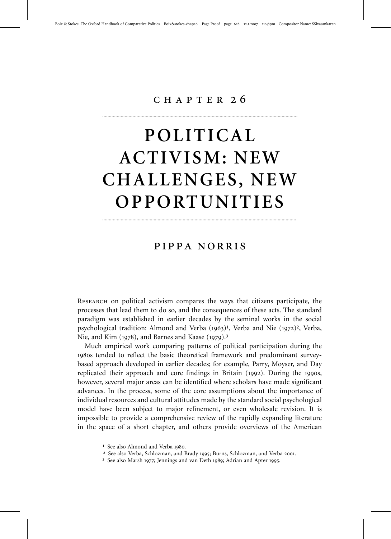### chapter 26

....................................................................................................................................................

# POLITICAL ACTIVISM: NEW CHALLENGES, NEW OPPORTUNITIES

### pippa norris

...................................................................................................................................................

Research on political activism compares the ways that citizens participate, the processes that lead them to do so, and the consequences of these acts. The standard paradigm was established in earlier decades by the seminal works in the social psychological tradition: Almond and Verba  $(1963)^1$ , Verba and Nie  $(1972)^2$ , Verba, Nie, and Kim (1978), and Barnes and Kaase (1979).3

Much empirical work comparing patterns of political participation during the 1980s tended to reflect the basic theoretical framework and predominant surveybased approach developed in earlier decades; for example, Parry, Moyser, and Day replicated their approach and core findings in Britain  $(1992)$ . During the 1990s, however, several major areas can be identified where scholars have made significant advances. In the process, some of the core assumptions about the importance of individual resources and cultural attitudes made by the standard social psychological model have been subject to major refinement, or even wholesale revision. It is impossible to provide a comprehensive review of the rapidly expanding literature in the space of a short chapter, and others provide overviews of the American

- 1 See also Almond and Verba 1980.
- 2 See also Verba, Schlozman, and Brady 1995; Burns, Schlozman, and Verba 2001.
- 3 See also Marsh 1977; Jennings and van Deth 1989; Adrian and Apter 1995.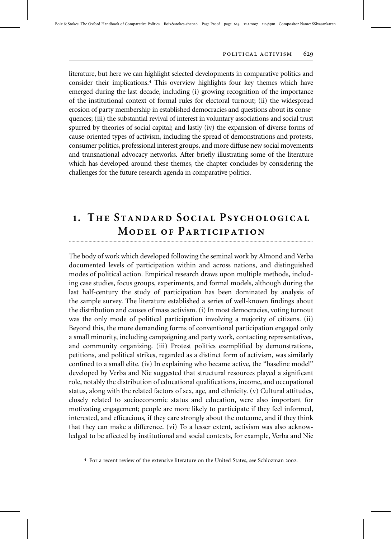literature, but here we can highlight selected developments in comparative politics and consider their implications.4 This overview highlights four key themes which have emerged during the last decade, including (i) growing recognition of the importance of the institutional context of formal rules for electoral turnout; (ii) the widespread erosion of party membership in established democracies and questions about its consequences; (iii) the substantial revival of interest in voluntary associations and social trust spurred by theories of social capital; and lastly (iv) the expansion of diverse forms of cause-oriented types of activism, including the spread of demonstrations and protests, consumer politics, professional interest groups, and more diffuse new social movements and transnational advocacy networks. After briefly illustrating some of the literature which has developed around these themes, the chapter concludes by considering the challenges for the future research agenda in comparative politics.

## 1. The Standard Social Psychological Model of Participation

.........................................................................................................................................................................................

The body of work which developed following the seminal work by Almond and Verba documented levels of participation within and across nations, and distinguished modes of political action. Empirical research draws upon multiple methods, including case studies, focus groups, experiments, and formal models, although during the last half-century the study of participation has been dominated by analysis of the sample survey. The literature established a series of well-known findings about the distribution and causes of mass activism. (i) In most democracies, voting turnout was the only mode of political participation involving a majority of citizens. (ii) Beyond this, the more demanding forms of conventional participation engaged only a small minority, including campaigning and party work, contacting representatives, and community organizing. (iii) Protest politics exemplified by demonstrations, petitions, and political strikes, regarded as a distinct form of activism, was similarly confined to a small elite. (iv) In explaining who became active, the "baseline model" developed by Verba and Nie suggested that structural resources played a significant role, notably the distribution of educational qualifications, income, and occupational status, along with the related factors of sex, age, and ethnicity. (v) Cultural attitudes, closely related to socioeconomic status and education, were also important for motivating engagement; people are more likely to participate if they feel informed, interested, and efficacious, if they care strongly about the outcome, and if they think that they can make a difference. (vi) To a lesser extent, activism was also acknowledged to be affected by institutional and social contexts, for example, Verba and Nie

<sup>4</sup> For a recent review of the extensive literature on the United States, see Schlozman 2002.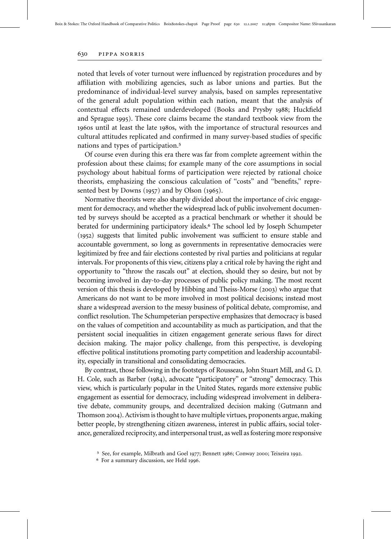noted that levels of voter turnout were influenced by registration procedures and by affiliation with mobilizing agencies, such as labor unions and parties. But the predominance of individual-level survey analysis, based on samples representative of the general adult population within each nation, meant that the analysis of contextual effects remained underdeveloped (Books and Prysby 1988; Huckfield and Sprague 1995). These core claims became the standard textbook view from the 1960s until at least the late 1980s, with the importance of structural resources and cultural attitudes replicated and confirmed in many survey-based studies of specific nations and types of participation.5

Of course even during this era there was far from complete agreement within the profession about these claims; for example many of the core assumptions in social psychology about habitual forms of participation were rejected by rational choice theorists, emphasizing the conscious calculation of "costs" and "benefits," represented best by Downs (1957) and by Olson (1965).

Normative theorists were also sharply divided about the importance of civic engagement for democracy, and whether the widespread lack of public involvement documented by surveys should be accepted as a practical benchmark or whether it should be berated for undermining participatory ideals.6 The school led by Joseph Schumpeter (1952) suggests that limited public involvement was sufficient to ensure stable and accountable government, so long as governments in representative democracies were legitimized by free and fair elections contested by rival parties and politicians at regular intervals. For proponents of this view, citizens play a critical role by having the right and opportunity to ''throw the rascals out'' at election, should they so desire, but not by becoming involved in day-to-day processes of public policy making. The most recent version of this thesis is developed by Hibbing and Theiss-Morse (2003) who argue that Americans do not want to be more involved in most political decisions; instead most share a widespread aversion to the messy business of political debate, compromise, and conflict resolution. The Schumpeterian perspective emphasizes that democracy is based on the values of competition and accountability as much as participation, and that the persistent social inequalities in citizen engagement generate serious flaws for direct decision making. The major policy challenge, from this perspective, is developing effective political institutions promoting party competition and leadership accountability, especially in transitional and consolidating democracies.

By contrast, those following in the footsteps of Rousseau, John Stuart Mill, and G. D. H. Cole, such as Barber (1984), advocate ''participatory'' or ''strong'' democracy. This view, which is particularly popular in the United States, regards more extensive public engagement as essential for democracy, including widespread involvement in deliberative debate, community groups, and decentralized decision making (Gutmann and Thomson 2004). Activism is thought to have multiple virtues, proponents argue, making better people, by strengthening citizen awareness, interest in public affairs, social tolerance, generalized reciprocity, and interpersonal trust, as well as fostering more responsive

6 For a summary discussion, see Held 1996.

<sup>5</sup> See, for example, Milbrath and Goel 1977; Bennett 1986; Conway 2000; Teixeira 1992.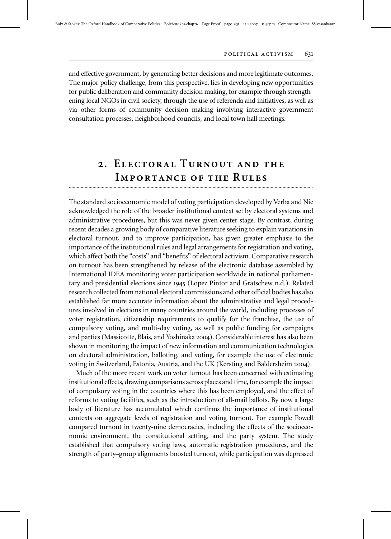and effective government, by generating better decisions and more legitimate outcomes. The major policy challenge, from this perspective, lies in developing new opportunities for public deliberation and community decision making, for example through strengthening local NGOs in civil society, through the use of referenda and initiatives, as well as via other forms of community decision making involving interactive government consultation processes, neighborhood councils, and local town hall meetings.

# 2. Electoral Turnout and the Importance of the Rules

.........................................................................................................................................................................................

The standard socioeconomic model of voting participation developed by Verba and Nie acknowledged the role of the broader institutional context set by electoral systems and administrative procedures, but this was never given center stage. By contrast, during recent decades a growing body of comparative literature seeking to explain variations in electoral turnout, and to improve participation, has given greater emphasis to the importance of the institutional rules and legal arrangements for registration and voting, which affect both the "costs" and "benefits" of electoral activism. Comparative research on turnout has been strengthened by release of the electronic database assembled by International IDEA monitoring voter participation worldwide in national parliamentary and presidential elections since 1945 (Lopez Pintor and Gratschew n.d.). Related research collected from national electoral commissions and other official bodies has also established far more accurate information about the administrative and legal procedures involved in elections in many countries around the world, including processes of voter registration, citizenship requirements to qualify for the franchise, the use of compulsory voting, and multi-day voting, as well as public funding for campaigns and parties (Massicotte, Blais, and Yoshinaka 2004). Considerable interest has also been shown in monitoring the impact of new information and communication technologies on electoral administration, balloting, and voting, for example the use of electronic voting in Switzerland, Estonia, Austria, and the UK (Kersting and Baldersheim 2004).

Much of the more recent work on voter turnout has been concerned with estimating institutional effects, drawing comparisons across places and time, for example the impact of compulsory voting in the countries where this has been employed, and the effect of reforms to voting facilities, such as the introduction of all-mail ballots. By now a large body of literature has accumulated which confirms the importance of institutional contexts on aggregate levels of registration and voting turnout. For example Powell compared turnout in twenty-nine democracies, including the effects of the socioeconomic environment, the constitutional setting, and the party system. The study established that compulsory voting laws, automatic registration procedures, and the strength of party–group alignments boosted turnout, while participation was depressed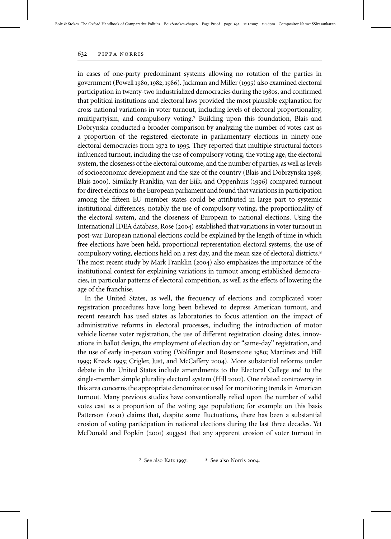in cases of one-party predominant systems allowing no rotation of the parties in government (Powell 1980, 1982, 1986). Jackman and Miller (1995) also examined electoral participation in twenty-two industrialized democracies during the 1980s, and confirmed that political institutions and electoral laws provided the most plausible explanation for cross-national variations in voter turnout, including levels of electoral proportionality, multipartyism, and compulsory voting.7 Building upon this foundation, Blais and Dobrynska conducted a broader comparison by analyzing the number of votes cast as a proportion of the registered electorate in parliamentary elections in ninety-one electoral democracies from 1972 to 1995. They reported that multiple structural factors influenced turnout, including the use of compulsory voting, the voting age, the electoral system, the closeness of the electoral outcome, and the number of parties, as well as levels of socioeconomic development and the size of the country (Blais and Dobrzynska 1998; Blais 2000). Similarly Franklin, van der Eijk, and Oppenhuis (1996) compared turnout for direct elections to the European parliament and found that variations in participation among the fifteen EU member states could be attributed in large part to systemic institutional differences, notably the use of compulsory voting, the proportionality of the electoral system, and the closeness of European to national elections. Using the International IDEA database, Rose (2004) established that variations in voter turnout in post-war European national elections could be explained by the length of time in which free elections have been held, proportional representation electoral systems, the use of compulsory voting, elections held on a rest day, and the mean size of electoral districts.8 The most recent study by Mark Franklin (2004) also emphasizes the importance of the institutional context for explaining variations in turnout among established democracies, in particular patterns of electoral competition, as well as the effects of lowering the age of the franchise.

In the United States, as well, the frequency of elections and complicated voter registration procedures have long been believed to depress American turnout, and recent research has used states as laboratories to focus attention on the impact of administrative reforms in electoral processes, including the introduction of motor vehicle license voter registration, the use of different registration closing dates, innovations in ballot design, the employment of election day or ''same-day'' registration, and the use of early in-person voting (Wolfinger and Rosenstone 1980; Martinez and Hill 1999; Knack 1995; Crigler, Just, and McCaffery 2004). More substantial reforms under debate in the United States include amendments to the Electoral College and to the single-member simple plurality electoral system (Hill 2002). One related controversy in this area concerns the appropriate denominator used for monitoring trends in American turnout. Many previous studies have conventionally relied upon the number of valid votes cast as a proportion of the voting age population; for example on this basis Patterson (2001) claims that, despite some fluctuations, there has been a substantial erosion of voting participation in national elections during the last three decades. Yet McDonald and Popkin (2001) suggest that any apparent erosion of voter turnout in

<sup>7</sup> See also Katz 1997. <sup>8</sup> See also Norris 2004.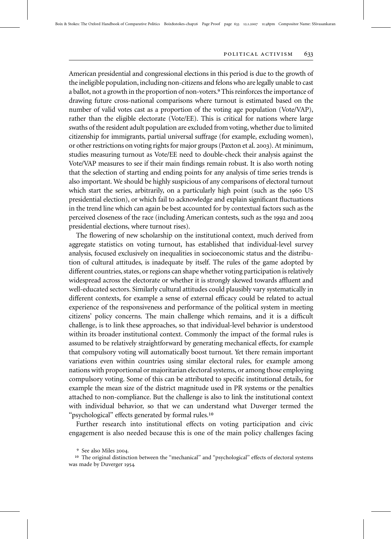American presidential and congressional elections in this period is due to the growth of the ineligible population, including non-citizens and felons who are legally unable to cast a ballot, not a growth in the proportion of non-voters.<sup>9</sup> This reinforces the importance of drawing future cross-national comparisons where turnout is estimated based on the number of valid votes cast as a proportion of the voting age population (Vote/VAP), rather than the eligible electorate (Vote/EE). This is critical for nations where large swaths of the resident adult population are excluded from voting, whether due to limited citizenship for immigrants, partial universal suffrage (for example, excluding women), or other restrictions on voting rights for major groups (Paxton et al. 2003). At minimum, studies measuring turnout as Vote/EE need to double-check their analysis against the Vote/VAP measures to see if their main findings remain robust. It is also worth noting that the selection of starting and ending points for any analysis of time series trends is also important. We should be highly suspicious of any comparisons of electoral turnout which start the series, arbitrarily, on a particularly high point (such as the 1960 US presidential election), or which fail to acknowledge and explain significant fluctuations in the trend line which can again be best accounted for by contextual factors such as the perceived closeness of the race (including American contests, such as the 1992 and 2004 presidential elections, where turnout rises).

The flowering of new scholarship on the institutional context, much derived from aggregate statistics on voting turnout, has established that individual-level survey analysis, focused exclusively on inequalities in socioeconomic status and the distribution of cultural attitudes, is inadequate by itself. The rules of the game adopted by different countries, states, or regions can shape whether voting participation is relatively widespread across the electorate or whether it is strongly skewed towards affluent and well-educated sectors. Similarly cultural attitudes could plausibly vary systematically in different contexts, for example a sense of external efficacy could be related to actual experience of the responsiveness and performance of the political system in meeting citizens' policy concerns. The main challenge which remains, and it is a difficult challenge, is to link these approaches, so that individual-level behavior is understood within its broader institutional context. Commonly the impact of the formal rules is assumed to be relatively straightforward by generating mechanical effects, for example that compulsory voting will automatically boost turnout. Yet there remain important variations even within countries using similar electoral rules, for example among nations with proportional or majoritarian electoral systems, or among those employing compulsory voting. Some of this can be attributed to specific institutional details, for example the mean size of the district magnitude used in PR systems or the penalties attached to non-compliance. But the challenge is also to link the institutional context with individual behavior, so that we can understand what Duverger termed the "psychological" effects generated by formal rules.<sup>10</sup>

Further research into institutional effects on voting participation and civic engagement is also needed because this is one of the main policy challenges facing

<sup>9</sup> See also Miles 2004.

<sup>&</sup>lt;sup>10</sup> The original distinction between the "mechanical" and "psychological" effects of electoral systems was made by Duverger 1954.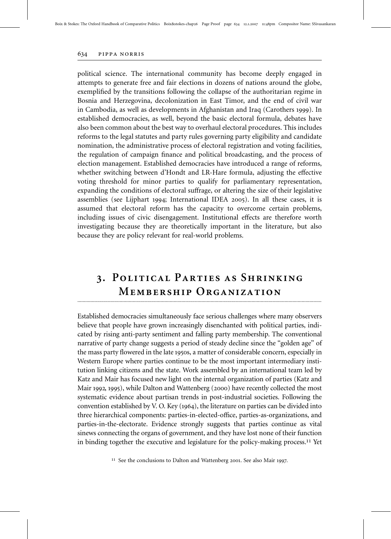political science. The international community has become deeply engaged in attempts to generate free and fair elections in dozens of nations around the globe, exemplified by the transitions following the collapse of the authoritarian regime in Bosnia and Herzegovina, decolonization in East Timor, and the end of civil war in Cambodia, as well as developments in Afghanistan and Iraq (Carothers 1999). In established democracies, as well, beyond the basic electoral formula, debates have also been common about the best way to overhaul electoral procedures. This includes reforms to the legal statutes and party rules governing party eligibility and candidate nomination, the administrative process of electoral registration and voting facilities, the regulation of campaign finance and political broadcasting, and the process of election management. Established democracies have introduced a range of reforms, whether switching between d'Hondt and LR-Hare formula, adjusting the effective voting threshold for minor parties to qualify for parliamentary representation, expanding the conditions of electoral suffrage, or altering the size of their legislative assemblies (see Lijphart 1994; International IDEA 2005). In all these cases, it is assumed that electoral reform has the capacity to overcome certain problems, including issues of civic disengagement. Institutional effects are therefore worth investigating because they are theoretically important in the literature, but also because they are policy relevant for real-world problems.

# 3. Political Parties as Shrinking Membership Organization

.........................................................................................................................................................................................

Established democracies simultaneously face serious challenges where many observers believe that people have grown increasingly disenchanted with political parties, indicated by rising anti-party sentiment and falling party membership. The conventional narrative of party change suggests a period of steady decline since the ''golden age'' of the mass party flowered in the late 1950s, a matter of considerable concern, especially in Western Europe where parties continue to be the most important intermediary institution linking citizens and the state. Work assembled by an international team led by Katz and Mair has focused new light on the internal organization of parties (Katz and Mair 1992, 1995), while Dalton and Wattenberg (2000) have recently collected the most systematic evidence about partisan trends in post-industrial societies. Following the convention established by V. O. Key (1964), the literature on parties can be divided into three hierarchical components: parties-in-elected-office, parties-as-organizations, and parties-in-the-electorate. Evidence strongly suggests that parties continue as vital sinews connecting the organs of government, and they have lost none of their function in binding together the executive and legislature for the policy-making process.11 Yet

<sup>11</sup> See the conclusions to Dalton and Wattenberg 2001. See also Mair 1997.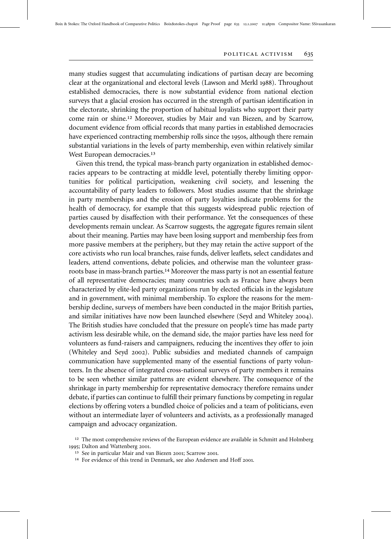many studies suggest that accumulating indications of partisan decay are becoming clear at the organizational and electoral levels (Lawson and Merkl 1988). Throughout established democracies, there is now substantial evidence from national election surveys that a glacial erosion has occurred in the strength of partisan identification in the electorate, shrinking the proportion of habitual loyalists who support their party come rain or shine.12 Moreover, studies by Mair and van Biezen, and by Scarrow, document evidence from official records that many parties in established democracies have experienced contracting membership rolls since the 1950s, although there remain substantial variations in the levels of party membership, even within relatively similar West European democracies.<sup>13</sup>

Given this trend, the typical mass-branch party organization in established democracies appears to be contracting at middle level, potentially thereby limiting opportunities for political participation, weakening civil society, and lessening the accountability of party leaders to followers. Most studies assume that the shrinkage in party memberships and the erosion of party loyalties indicate problems for the health of democracy, for example that this suggests widespread public rejection of parties caused by disaffection with their performance. Yet the consequences of these developments remain unclear. As Scarrow suggests, the aggregate figures remain silent about their meaning. Parties may have been losing support and membership fees from more passive members at the periphery, but they may retain the active support of the core activists who run local branches, raise funds, deliver leaflets, select candidates and leaders, attend conventions, debate policies, and otherwise man the volunteer grassroots base in mass-branch parties.14 Moreover the mass party is not an essential feature of all representative democracies; many countries such as France have always been characterized by elite-led party organizations run by elected officials in the legislature and in government, with minimal membership. To explore the reasons for the membership decline, surveys of members have been conducted in the major British parties, and similar initiatives have now been launched elsewhere (Seyd and Whiteley 2004). The British studies have concluded that the pressure on people's time has made party activism less desirable while, on the demand side, the major parties have less need for volunteers as fund-raisers and campaigners, reducing the incentives they offer to join (Whiteley and Seyd 2002). Public subsidies and mediated channels of campaign communication have supplemented many of the essential functions of party volunteers. In the absence of integrated cross-national surveys of party members it remains to be seen whether similar patterns are evident elsewhere. The consequence of the shrinkage in party membership for representative democracy therefore remains under debate, if parties can continue to fulfill their primary functions by competing in regular elections by offering voters a bundled choice of policies and a team of politicians, even without an intermediate layer of volunteers and activists, as a professionally managed campaign and advocacy organization.

<sup>12</sup> The most comprehensive reviews of the European evidence are available in Schmitt and Holmberg 1995; Dalton and Wattenberg 2001.

<sup>13</sup> See in particular Mair and van Biezen 2001; Scarrow 2001.

<sup>&</sup>lt;sup>14</sup> For evidence of this trend in Denmark, see also Andersen and Hoff 2001.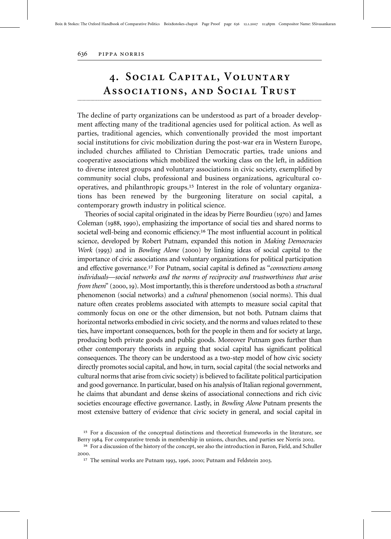### 4. Social Capital, Voluntary Associations, and Social Trust .........................................................................................................................................................................................

The decline of party organizations can be understood as part of a broader development affecting many of the traditional agencies used for political action. As well as parties, traditional agencies, which conventionally provided the most important social institutions for civic mobilization during the post-war era in Western Europe, included churches affiliated to Christian Democratic parties, trade unions and cooperative associations which mobilized the working class on the left, in addition to diverse interest groups and voluntary associations in civic society, exemplified by community social clubs, professional and business organizations, agricultural cooperatives, and philanthropic groups.15 Interest in the role of voluntary organizations has been renewed by the burgeoning literature on social capital, a contemporary growth industry in political science.

Theories of social capital originated in the ideas by Pierre Bourdieu (1970) and James Coleman (1988, 1990), emphasizing the importance of social ties and shared norms to societal well-being and economic efficiency.<sup>16</sup> The most influential account in political science, developed by Robert Putnam, expanded this notion in Making Democracies Work (1993) and in Bowling Alone (2000) by linking ideas of social capital to the importance of civic associations and voluntary organizations for political participation and effective governance.<sup>17</sup> For Putnam, social capital is defined as "*connections among* individuals—social networks and the norms of reciprocity and trustworthiness that arise from them" (2000, 19). Most importantly, this is therefore understood as both a *structural* phenomenon (social networks) and a cultural phenomenon (social norms). This dual nature often creates problems associated with attempts to measure social capital that commonly focus on one or the other dimension, but not both. Putnam claims that horizontal networks embodied in civic society, and the norms and values related to these ties, have important consequences, both for the people in them and for society at large, producing both private goods and public goods. Moreover Putnam goes further than other contemporary theorists in arguing that social capital has significant political consequences. The theory can be understood as a two-step model of how civic society directly promotes social capital, and how, in turn, social capital (the social networks and cultural norms that arise from civic society) is believed to facilitate political participation and good governance. In particular, based on his analysis of Italian regional government, he claims that abundant and dense skeins of associational connections and rich civic societies encourage effective governance. Lastly, in *Bowling Alone* Putnam presents the most extensive battery of evidence that civic society in general, and social capital in

<sup>15</sup> For a discussion of the conceptual distinctions and theoretical frameworks in the literature, see Berry 1984. For comparative trends in membership in unions, churches, and parties see Norris 2002.

<sup>16</sup> For a discussion of the history of the concept, see also the introduction in Baron, Field, and Schuller 2000.

<sup>&</sup>lt;sup>17</sup> The seminal works are Putnam 1993, 1996, 2000; Putnam and Feldstein 2003.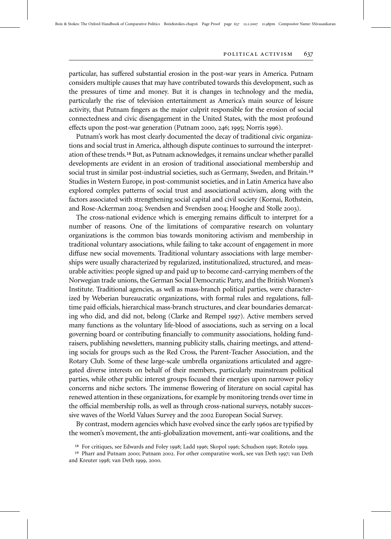particular, has suffered substantial erosion in the post-war years in America. Putnam considers multiple causes that may have contributed towards this development, such as the pressures of time and money. But it is changes in technology and the media, particularly the rise of television entertainment as America's main source of leisure activity, that Putnam fingers as the major culprit responsible for the erosion of social connectedness and civic disengagement in the United States, with the most profound effects upon the post-war generation (Putnam 2000, 246; 1995; Norris 1996).

Putnam's work has most clearly documented the decay of traditional civic organizations and social trust in America, although dispute continues to surround the interpretation of these trends.18 But, as Putnam acknowledges, it remains unclear whether parallel developments are evident in an erosion of traditional associational membership and social trust in similar post-industrial societies, such as Germany, Sweden, and Britain.19 Studies in Western Europe, in post-communist societies, and in Latin America have also explored complex patterns of social trust and associational activism, along with the factors associated with strengthening social capital and civil society (Kornai, Rothstein, and Rose-Ackerman 2004; Svendsen and Svendsen 2004; Hooghe and Stolle 2003).

The cross-national evidence which is emerging remains difficult to interpret for a number of reasons. One of the limitations of comparative research on voluntary organizations is the common bias towards monitoring activism and membership in traditional voluntary associations, while failing to take account of engagement in more diffuse new social movements. Traditional voluntary associations with large memberships were usually characterized by regularized, institutionalized, structured, and measurable activities: people signed up and paid up to become card-carrying members of the Norwegian trade unions, the German Social Democratic Party, and the British Women's Institute. Traditional agencies, as well as mass-branch political parties, were characterized by Weberian bureaucratic organizations, with formal rules and regulations, fulltime paid officials, hierarchical mass-branch structures, and clear boundaries demarcating who did, and did not, belong (Clarke and Rempel 1997). Active members served many functions as the voluntary life-blood of associations, such as serving on a local governing board or contributing financially to community associations, holding fundraisers, publishing newsletters, manning publicity stalls, chairing meetings, and attending socials for groups such as the Red Cross, the Parent-Teacher Association, and the Rotary Club. Some of these large-scale umbrella organizations articulated and aggregated diverse interests on behalf of their members, particularly mainstream political parties, while other public interest groups focused their energies upon narrower policy concerns and niche sectors. The immense flowering of literature on social capital has renewed attention in these organizations, for example by monitoring trends over time in the official membership rolls, as well as through cross-national surveys, notably successive waves of the World Values Survey and the 2002 European Social Survey.

By contrast, modern agencies which have evolved since the early 1960s are typified by the women's movement, the anti-globalization movement, anti-war coalitions, and the

<sup>18</sup> For critiques, see Edwards and Foley 1998; Ladd 1996; Skopol 1996; Schudson 1996; Rotolo 1999.

<sup>19</sup> Pharr and Putnam 2000; Putnam 2002. For other comparative work, see van Deth 1997; van Deth and Kreuter 1998; van Deth 1999, 2000.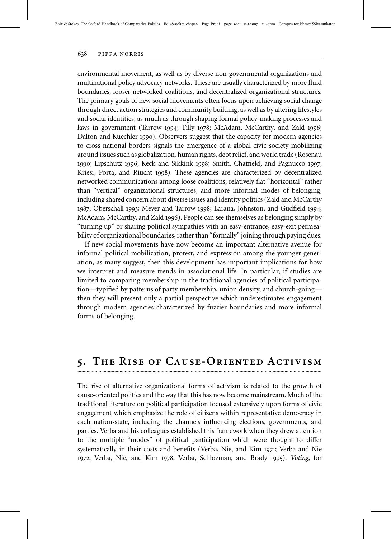environmental movement, as well as by diverse non-governmental organizations and multinational policy advocacy networks. These are usually characterized by more fluid boundaries, looser networked coalitions, and decentralized organizational structures. The primary goals of new social movements often focus upon achieving social change through direct action strategies and community building, as well as by altering lifestyles and social identities, as much as through shaping formal policy-making processes and laws in government (Tarrow 1994; Tilly 1978; McAdam, McCarthy, and Zald 1996; Dalton and Kuechler 1990). Observers suggest that the capacity for modern agencies to cross national borders signals the emergence of a global civic society mobilizing around issues such as globalization, human rights, debt relief, and world trade (Rosenau 1990; Lipschutz 1996; Keck and Sikkink 1998; Smith, Chatfield, and Pagnucco 1997; Kriesi, Porta, and Riucht 1998). These agencies are characterized by decentralized networked communications among loose coalitions, relatively flat "horizontal" rather than ''vertical'' organizational structures, and more informal modes of belonging, including shared concern about diverse issues and identity politics (Zald and McCarthy 1987; Oberschall 1993; Meyer and Tarrow 1998; Larana, Johnston, and Gudfield 1994; McAdam, McCarthy, and Zald 1996). People can see themselves as belonging simply by ''turning up'' or sharing political sympathies with an easy-entrance, easy-exit permeability of organizational boundaries, rather than ''formally'' joining through paying dues.

If new social movements have now become an important alternative avenue for informal political mobilization, protest, and expression among the younger generation, as many suggest, then this development has important implications for how we interpret and measure trends in associational life. In particular, if studies are limited to comparing membership in the traditional agencies of political participation—typified by patterns of party membership, union density, and church-going then they will present only a partial perspective which underestimates engagement through modern agencies characterized by fuzzier boundaries and more informal forms of belonging.

### 5. The Rise of Cause-Oriented Activism .........................................................................................................................................................................................

The rise of alternative organizational forms of activism is related to the growth of cause-oriented politics and the way that this has now become mainstream. Much of the traditional literature on political participation focused extensively upon forms of civic engagement which emphasize the role of citizens within representative democracy in each nation-state, including the channels influencing elections, governments, and parties. Verba and his colleagues established this framework when they drew attention to the multiple "modes" of political participation which were thought to differ systematically in their costs and benefits (Verba, Nie, and Kim 1971; Verba and Nie 1972; Verba, Nie, and Kim 1978; Verba, Schlozman, and Brady 1995). Voting, for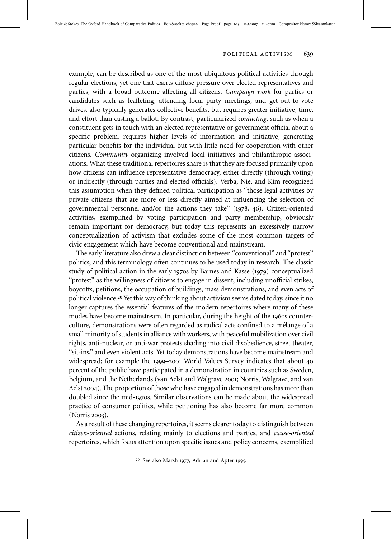example, can be described as one of the most ubiquitous political activities through regular elections, yet one that exerts diffuse pressure over elected representatives and parties, with a broad outcome affecting all citizens. Campaign work for parties or candidates such as leafleting, attending local party meetings, and get-out-to-vote drives, also typically generates collective benefits, but requires greater initiative, time, and effort than casting a ballot. By contrast, particularized *contacting*, such as when a constituent gets in touch with an elected representative or government official about a specific problem, requires higher levels of information and initiative, generating particular benefits for the individual but with little need for cooperation with other citizens. Community organizing involved local initiatives and philanthropic associations. What these traditional repertoires share is that they are focused primarily upon how citizens can influence representative democracy, either directly (through voting) or indirectly (through parties and elected officials). Verba, Nie, and Kim recognized this assumption when they defined political participation as "those legal activities by private citizens that are more or less directly aimed at influencing the selection of governmental personnel and/or the actions they take'' (1978, 46). Citizen-oriented activities, exemplified by voting participation and party membership, obviously remain important for democracy, but today this represents an excessively narrow conceptualization of activism that excludes some of the most common targets of civic engagement which have become conventional and mainstream.

The early literature also drew a clear distinction between ''conventional'' and ''protest'' politics, and this terminology often continues to be used today in research. The classic study of political action in the early 1970s by Barnes and Kasse (1979) conceptualized "protest" as the willingness of citizens to engage in dissent, including unofficial strikes, boycotts, petitions, the occupation of buildings, mass demonstrations, and even acts of political violence.20 Yet this way of thinking about activism seems dated today, since it no longer captures the essential features of the modern repertoires where many of these modes have become mainstream. In particular, during the height of the 1960s counterculture, demonstrations were often regarded as radical acts confined to a mélange of a small minority of students in alliance with workers, with peaceful mobilization over civil rights, anti-nuclear, or anti-war protests shading into civil disobedience, street theater, "sit-ins," and even violent acts. Yet today demonstrations have become mainstream and widespread; for example the 1999–2001 World Values Survey indicates that about 40 percent of the public have participated in a demonstration in countries such as Sweden, Belgium, and the Netherlands (van Aelst and Walgrave 2001; Norris, Walgrave, and van Aelst 2004). The proportion of those who have engaged in demonstrations has more than doubled since the mid-1970s. Similar observations can be made about the widespread practice of consumer politics, while petitioning has also become far more common (Norris 2003).

As a result of these changing repertoires, it seems clearer today to distinguish between citizen-oriented actions, relating mainly to elections and parties, and cause-oriented repertoires, which focus attention upon specific issues and policy concerns, exemplified

20 See also Marsh 1977; Adrian and Apter 1995.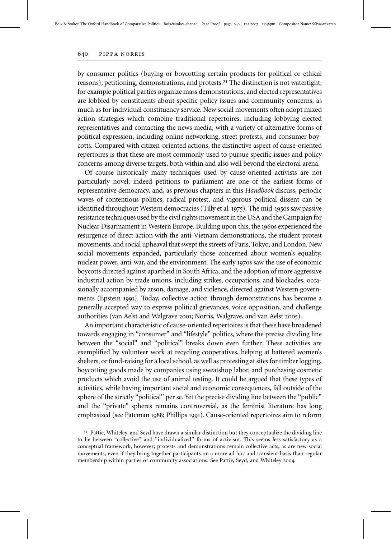by consumer politics (buying or boycotting certain products for political or ethical reasons), petitioning, demonstrations, and protests.21 The distinction is not watertight; for example political parties organize mass demonstrations, and elected representatives are lobbied by constituents about specific policy issues and community concerns, as much as for individual constituency service. New social movements often adopt mixed action strategies which combine traditional repertoires, including lobbying elected representatives and contacting the news media, with a variety of alternative forms of political expression, including online networking, street protests, and consumer boycotts. Compared with citizen-oriented actions, the distinctive aspect of cause-oriented repertoires is that these are most commonly used to pursue specific issues and policy concerns among diverse targets, both within and also well beyond the electoral arena.

Of course historically many techniques used by cause-oriented activists are not particularly novel; indeed petitions to parliament are one of the earliest forms of representative democracy, and, as previous chapters in this Handbook discuss, periodic waves of contentious politics, radical protest, and vigorous political dissent can be identified throughout Western democracies (Tilly et al. 1975). The mid-1950s saw passive resistance techniques used by the civil rights movement in the USA and the Campaign for Nuclear Disarmament in Western Europe. Building upon this, the 1960s experienced the resurgence of direct action with the anti-Vietnam demonstrations, the student protest movements, and social upheaval that swept the streets of Paris, Tokyo, and London. New social movements expanded, particularly those concerned about women's equality, nuclear power, anti-war, and the environment. The early 1970s saw the use of economic boycotts directed against apartheid in South Africa, and the adoption of more aggressive industrial action by trade unions, including strikes, occupations, and blockades, occasionally accompanied by arson, damage, and violence, directed against Western governments (Epstein 1991). Today, collective action through demonstrations has become a generally accepted way to express political grievances, voice opposition, and challenge authorities (van Aelst and Walgrave 2001; Norris, Walgrave, and van Aelst 2005).

An important characteristic of cause-oriented repertoires is that these have broadened towards engaging in "consumer" and "lifestyle" politics, where the precise dividing line between the ''social'' and ''political'' breaks down even further. These activities are exemplified by volunteer work at recycling cooperatives, helping at battered women's shelters, or fund-raising for a local school, as well as protesting at sites for timber logging, boycotting goods made by companies using sweatshop labor, and purchasing cosmetic products which avoid the use of animal testing. It could be argued that these types of activities, while having important social and economic consequences, fall outside of the sphere of the strictly "political" per se. Yet the precise dividing line between the "public" and the ''private'' spheres remains controversial, as the feminist literature has long emphasized (see Pateman 1988; Phillips 1991). Cause-oriented repertoires aim to reform

<sup>21</sup> Pattie, Whiteley, and Seyd have drawn a similar distinction but they conceptualize the dividing line to lie between ''collective'' and ''individualized'' forms of activism. This seems less satisfactory as a conceptual framework, however; protests and demonstrations remain collective acts, as are new social movements, even if they bring together participants on a more ad hoc and transient basis than regular membership within parties or community associations. See Pattie, Seyd, and Whiteley 2004.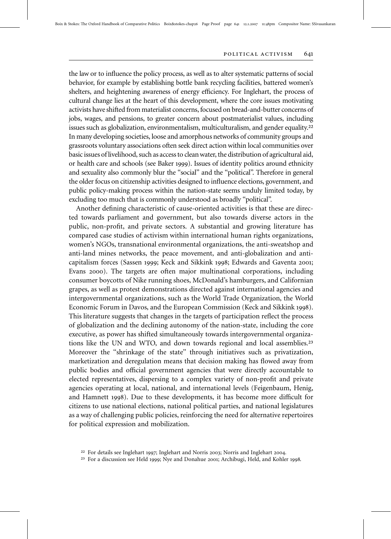the law or to influence the policy process, as well as to alter systematic patterns of social behavior, for example by establishing bottle bank recycling facilities, battered women's shelters, and heightening awareness of energy efficiency. For Inglehart, the process of cultural change lies at the heart of this development, where the core issues motivating activists have shifted from materialist concerns, focused on bread-and-butter concerns of jobs, wages, and pensions, to greater concern about postmaterialist values, including issues such as globalization, environmentalism, multiculturalism, and gender equality.22 In many developing societies, loose and amorphous networks of community groups and grassroots voluntary associations often seek direct action within local communities over basic issues of livelihood, such as access to clean water, the distribution of agricultural aid, or health care and schools (see Baker 1999). Issues of identity politics around ethnicity and sexuality also commonly blur the ''social'' and the ''political''. Therefore in general the older focus on citizenship activities designed to influence elections, government, and public policy-making process within the nation-state seems unduly limited today, by excluding too much that is commonly understood as broadly ''political''.

Another defining characteristic of cause-oriented activities is that these are directed towards parliament and government, but also towards diverse actors in the public, non-profit, and private sectors. A substantial and growing literature has compared case studies of activism within international human rights organizations, women's NGOs, transnational environmental organizations, the anti-sweatshop and anti-land mines networks, the peace movement, and anti-globalization and anticapitalism forces (Sassen 1999; Keck and Sikkink 1998; Edwards and Gaventa 2001; Evans 2000). The targets are often major multinational corporations, including consumer boycotts of Nike running shoes, McDonald's hamburgers, and Californian grapes, as well as protest demonstrations directed against international agencies and intergovernmental organizations, such as the World Trade Organization, the World Economic Forum in Davos, and the European Commission (Keck and Sikkink 1998). This literature suggests that changes in the targets of participation reflect the process of globalization and the declining autonomy of the nation-state, including the core executive, as power has shifted simultaneously towards intergovernmental organizations like the UN and WTO, and down towards regional and local assemblies.<sup>23</sup> Moreover the ''shrinkage of the state'' through initiatives such as privatization, marketization and deregulation means that decision making has flowed away from public bodies and official government agencies that were directly accountable to elected representatives, dispersing to a complex variety of non-profit and private agencies operating at local, national, and international levels (Feigenbaum, Henig, and Hamnett 1998). Due to these developments, it has become more difficult for citizens to use national elections, national political parties, and national legislatures as a way of challenging public policies, reinforcing the need for alternative repertoires for political expression and mobilization.

<sup>22</sup> For details see Inglehart 1997; Inglehart and Norris 2003; Norris and Inglehart 2004.

<sup>23</sup> For a discussion see Held 1999; Nye and Donahue 2001; Archibugi, Held, and Kohler 1998.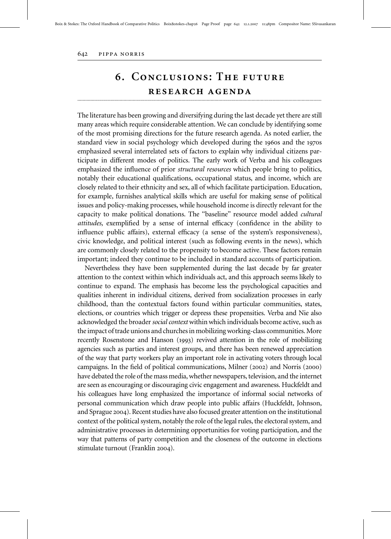### 6. Conclusions: The future research agenda .........................................................................................................................................................................................

The literature has been growing and diversifying during the last decade yet there are still many areas which require considerable attention. We can conclude by identifying some of the most promising directions for the future research agenda. As noted earlier, the standard view in social psychology which developed during the 1960s and the 1970s emphasized several interrelated sets of factors to explain why individual citizens participate in different modes of politics. The early work of Verba and his colleagues emphasized the influence of prior *structural resources* which people bring to politics, notably their educational qualifications, occupational status, and income, which are closely related to their ethnicity and sex, all of which facilitate participation. Education, for example, furnishes analytical skills which are useful for making sense of political issues and policy-making processes, while household income is directly relevant for the capacity to make political donations. The ''baseline'' resource model added cultural attitudes, exemplified by a sense of internal efficacy (confidence in the ability to influence public affairs), external efficacy (a sense of the system's responsiveness), civic knowledge, and political interest (such as following events in the news), which are commonly closely related to the propensity to become active. These factors remain important; indeed they continue to be included in standard accounts of participation.

Nevertheless they have been supplemented during the last decade by far greater attention to the context within which individuals act, and this approach seems likely to continue to expand. The emphasis has become less the psychological capacities and qualities inherent in individual citizens, derived from socialization processes in early childhood, than the contextual factors found within particular communities, states, elections, or countries which trigger or depress these propensities. Verba and Nie also acknowledged the broader social context within which individuals become active, such as the impact of trade unions and churches in mobilizing working-class communities. More recently Rosenstone and Hanson (1993) revived attention in the role of mobilizing agencies such as parties and interest groups, and there has been renewed appreciation of the way that party workers play an important role in activating voters through local campaigns. In the field of political communications, Milner (2002) and Norris (2000) have debated the role of the mass media, whether newspapers, television, and the internet are seen as encouraging or discouraging civic engagement and awareness. Huckfeldt and his colleagues have long emphasized the importance of informal social networks of personal communication which draw people into public affairs (Huckfeldt, Johnson, and Sprague 2004). Recent studies have also focused greater attention on the institutional context of the political system, notably the role of the legal rules, the electoral system, and administrative processes in determining opportunities for voting participation, and the way that patterns of party competition and the closeness of the outcome in elections stimulate turnout (Franklin 2004).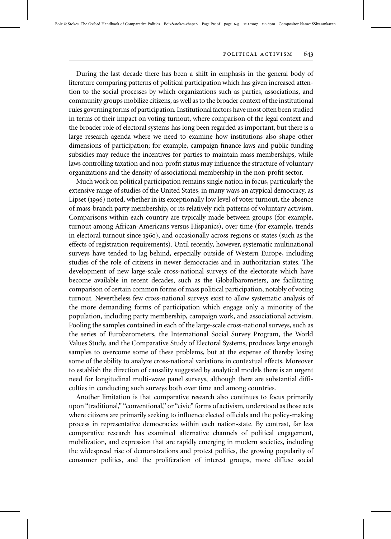During the last decade there has been a shift in emphasis in the general body of literature comparing patterns of political participation which has given increased attention to the social processes by which organizations such as parties, associations, and community groups mobilize citizens, as well as to the broader context of the institutional rules governing forms of participation. Institutional factors have most often been studied in terms of their impact on voting turnout, where comparison of the legal context and the broader role of electoral systems has long been regarded as important, but there is a large research agenda where we need to examine how institutions also shape other dimensions of participation; for example, campaign finance laws and public funding subsidies may reduce the incentives for parties to maintain mass memberships, while laws controlling taxation and non-profit status may influence the structure of voluntary organizations and the density of associational membership in the non-profit sector.

Much work on political participation remains single nation in focus, particularly the extensive range of studies of the United States, in many ways an atypical democracy, as Lipset (1996) noted, whether in its exceptionally low level of voter turnout, the absence of mass-branch party membership, or its relatively rich patterns of voluntary activism. Comparisons within each country are typically made between groups (for example, turnout among African-Americans versus Hispanics), over time (for example, trends in electoral turnout since 1960), and occasionally across regions or states (such as the effects of registration requirements). Until recently, however, systematic multinational surveys have tended to lag behind, especially outside of Western Europe, including studies of the role of citizens in newer democracies and in authoritarian states. The development of new large-scale cross-national surveys of the electorate which have become available in recent decades, such as the Globalbarometers, are facilitating comparison of certain common forms of mass political participation, notably of voting turnout. Nevertheless few cross-national surveys exist to allow systematic analysis of the more demanding forms of participation which engage only a minority of the population, including party membership, campaign work, and associational activism. Pooling the samples contained in each of the large-scale cross-national surveys, such as the series of Eurobarometers, the International Social Survey Program, the World Values Study, and the Comparative Study of Electoral Systems, produces large enough samples to overcome some of these problems, but at the expense of thereby losing some of the ability to analyze cross-national variations in contextual effects. Moreover to establish the direction of causality suggested by analytical models there is an urgent need for longitudinal multi-wave panel surveys, although there are substantial difficulties in conducting such surveys both over time and among countries.

Another limitation is that comparative research also continues to focus primarily upon "traditional," "conventional," or "civic" forms of activism, understood as those acts where citizens are primarily seeking to influence elected officials and the policy-making process in representative democracies within each nation-state. By contrast, far less comparative research has examined alternative channels of political engagement, mobilization, and expression that are rapidly emerging in modern societies, including the widespread rise of demonstrations and protest politics, the growing popularity of consumer politics, and the proliferation of interest groups, more diffuse social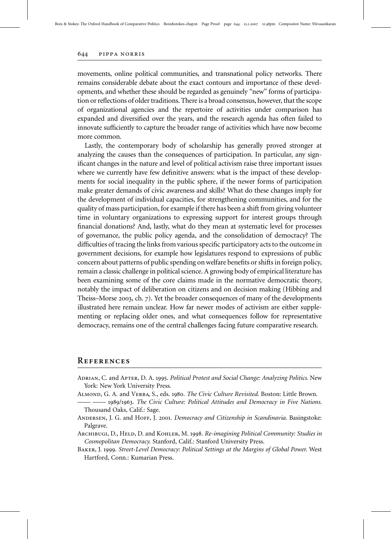movements, online political communities, and transnational policy networks. There remains considerable debate about the exact contours and importance of these developments, and whether these should be regarded as genuinely "new" forms of participation or reflections of older traditions. There is a broad consensus, however, that the scope of organizational agencies and the repertoire of activities under comparison has expanded and diversified over the years, and the research agenda has often failed to innovate sufficiently to capture the broader range of activities which have now become more common.

Lastly, the contemporary body of scholarship has generally proved stronger at analyzing the causes than the consequences of participation. In particular, any significant changes in the nature and level of political activism raise three important issues where we currently have few definitive answers: what is the impact of these developments for social inequality in the public sphere, if the newer forms of participation make greater demands of civic awareness and skills? What do these changes imply for the development of individual capacities, for strengthening communities, and for the quality of mass participation, for example if there has been a shift from giving volunteer time in voluntary organizations to expressing support for interest groups through financial donations? And, lastly, what do they mean at systematic level for processes of governance, the public policy agenda, and the consolidation of democracy? The difficulties of tracing the links from various specific participatory acts to the outcome in government decisions, for example how legislatures respond to expressions of public concern about patterns of public spending on welfare benefits or shifts in foreign policy, remain a classic challenge in political science. A growing body of empirical literature has been examining some of the core claims made in the normative democratic theory, notably the impact of deliberation on citizens and on decision making (Hibbing and Theiss–Morse 2003, ch. 7). Yet the broader consequences of many of the developments illustrated here remain unclear. How far newer modes of activism are either supplementing or replacing older ones, and what consequences follow for representative democracy, remains one of the central challenges facing future comparative research.

### **REFERENCES**

- Adrian, C. and Apter, D. A. 1995. Political Protest and Social Change: Analyzing Politics. New York: New York University Press.
- ALMOND, G. A. and VERBA, S., eds. 1980. The Civic Culture Revisited. Boston: Little Brown.
- 1989/1963. The Civic Culture: Political Attitudes and Democracy in Five Nations. Thousand Oaks, Calif.: Sage.
- ANDERSEN, J. G. and HOFF, J. 2001. Democracy and Citizenship in Scandinavia. Basingstoke: Palgrave.
- ARCHIBUGI, D., HELD, D. and KOHLER, M. 1998. Re-imagining Political Community: Studies in Cosmopolitan Democracy. Stanford, Calif.: Stanford University Press.
- Baker, J. 1999. Street-Level Democracy: Political Settings at the Margins of Global Power. West Hartford, Conn.: Kumarian Press.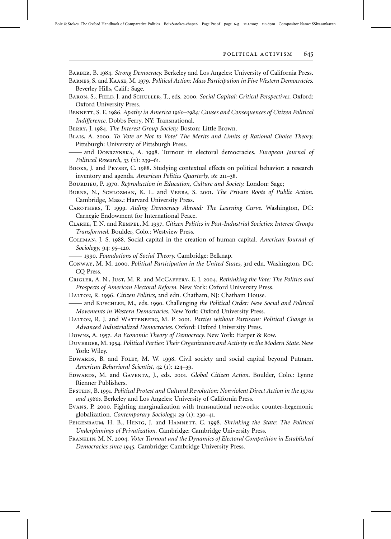- BARBER, B. 1984. Strong Democracy. Berkeley and Los Angeles: University of California Press. BARNES, S. and KAASE, M. 1979. Political Action: Mass Participation in Five Western Democracies.
- Beverley Hills, Calif.: Sage.
- BARON, S., FIELD, J. and SCHULLER, T., eds. 2000. Social Capital: Critical Perspectives. Oxford: Oxford University Press.
- BENNETT, S. E. 1986. Apathy in America 1960-1984: Causes and Consequences of Citizen Political Indifference. Dobbs Ferry, NY: Transnational.
- BERRY, J. 1984. The Interest Group Society. Boston: Little Brown.
- BLAIS, A. 2000. To Vote or Not to Vote? The Merits and Limits of Rational Choice Theory. Pittsburgh: University of Pittsburgh Press.
- and DOBRZYNSKA, A. 1998. Turnout in electoral democracies. European Journal of Political Research, 33 (2): 239-61.
- BOOKS, J. and PRYSBY, C. 1988. Studying contextual effects on political behavior: a research inventory and agenda. American Politics Quarterly, 16: 211-38.
- BOURDIEU, P. 1970. Reproduction in Education, Culture and Society. London: Sage;
- BURNS, N., SCHLOZMAN, K. L. and VERBA, S. 2001. The Private Roots of Public Action. Cambridge, Mass.: Harvard University Press.
- CAROTHERS, T. 1999. Aiding Democracy Abroad: The Learning Curve. Washington, DC: Carnegie Endowment for International Peace.
- CLARKE, T. N. and REMPEL, M. 1997. Citizen Politics in Post-Industrial Societies: Interest Groups Transformed, Boulder, Colo.: Westview Press.
- COLEMAN, J. S. 1988. Social capital in the creation of human capital. American Journal of Sociology, 94: 95-120.
	- 1990. Foundations of Social Theory. Cambridge: Belknap.
- CONWAY, M. M. 2000. Political Participation in the United States, 3rd edn. Washington, DC: CQ Press.
- CRIGLER, A. N., JUST, M. R. and MCCAFFERY, E. J. 2004. Rethinking the Vote: The Politics and Prospects of American Electoral Reform. New York: Oxford University Press.
- DALTON, R. 1996. Citizen Politics, 2nd edn. Chatham, NJ: Chatham House.
- and KUECHLER, M., eds. 1990. Challenging the Political Order: New Social and Political Movements in Western Democracies. New York: Oxford University Press.
- DALTON, R. J. and WATTENBERG, M. P. 2001. Parties without Partisans: Political Change in Advanced Industrialized Democracies. Oxford: Oxford University Press.
- Downs, A. 1957. An Economic Theory of Democracy. New York: Harper & Row.
- DUVERGER, M. 1954. Political Parties: Their Organization and Activity in the Modern State. New York: Wiley.
- EDWARDS, B. and FOLEY, M. W. 1998. Civil society and social capital beyond Putnam. American Behavioral Scientist, 42 (1): 124-39.
- EDWARDS, M. and GAVENTA, J., eds. 2001. Global Citizen Action. Boulder, Colo.: Lynne Rienner Publishers.
- EPSTEIN, B. 1991. Political Protest and Cultural Revolution: Nonviolent Direct Action in the 1970s and 1980s. Berkeley and Los Angeles: University of California Press.
- Evans, P. 2000. Fighting marginalization with transnational networks: counter-hegemonic globalization. Contemporary Sociology, 29 (1): 230–41.
- FEIGENBAUM, H. B., HENIG, J. and HAMNETT, C. 1998. Shrinking the State: The Political Underpinnings of Privatization. Cambridge: Cambridge University Press.
- FRANKLIN, M. N. 2004. Voter Turnout and the Dynamics of Electoral Competition in Established Democracies since 1945. Cambridge: Cambridge University Press.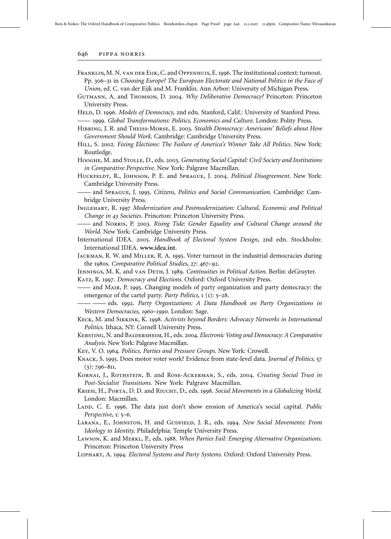#### 646 PIPPA NORRIS

- FRANKLIN, M. N. VAN DER EIJK, C. and OPPENHUIS, E. 1996. The institutional context: turnout. Pp. 306–31 in Choosing Europe? The European Electorate and National Politics in the Face of Union, ed. C. van der Eijk and M. Franklin. Ann Arbor: University of Michigan Press.
- GUTMANN, A. and THOMSON, D. 2004. Why Deliberative Democracy? Princeton: Princeton University Press.
- HELD, D. 1996. Models of Democracy, 2nd edn. Stanford, Calif.: University of Stanford Press. - 1999. Global Transformations: Politics, Economics and Culture. London: Polity Press.
- HIBBING, J. R. and THEISS-MORSE, E. 2003. Stealth Democracy: Americans' Beliefs about How Government Should Work. Cambridge: Cambridge University Press.
- HILL, S. 2002. Fixing Elections: The Failure of America's Winner Take All Politics. New York: Routledge.
- HOOGHE, M. and STOLLE, D., eds. 2003. Generating Social Capital: Civil Society and Institutions in Comparative Perspective. New York: Palgrave Macmillan.
- HUCKFELDT, R., JOHNSON, P. E. and SPRAGUE, J. 2004. Political Disagreement. New York: Cambridge University Press.
- and SPRAGUE, J. 1995. Citizens, Politics and Social Communication. Cambridge: Cambridge University Press.
- INGLEHART, R. 1997 Modernization and Postmodernization: Cultural, Economic and Political Change in 43 Societies. Princeton: Princeton University Press.
- and NORRIS, P. 2003. Rising Tide: Gender Equality and Cultural Change around the World. New York: Cambridge University Press.
- International IDEA. 2005. Handbook of Electoral System Design, 2nd edn. Stockholm: International IDEA. www.idea.int.
- JACKMAN, R. W. and MILLER, R. A. 1995. Voter turnout in the industrial democracies during the 1980s. Comparative Political Studies, 27: 467–92.
- JENNINGS, M. K. and VAN DETH, J. 1989. Continuities in Political Action. Berlin: deGruyter.
- KATZ, R. 1997. Democracy and Elections. Oxford: Oxford University Press.
- and MAIR, P. 1995. Changing models of party organization and party democracy: the emergence of the cartel party. Party Politics,  $1 (1)$ : 5-28.
- eds. 1992. Party Organizations: A Data Handbook on Party Organizations in Western Democracies, 1960-1990. London: Sage.
- KECK, M. and SIKKINK, K. 1998. Activists beyond Borders: Advocacy Networks in International Politics. Ithaca, NY: Cornell University Press.
- KERSTING, N. and BALDERSHEIM, H., eds. 2004. Electronic Voting and Democracy: A Comparative Analysis. New York: Palgrave Macmillan.
- KEY, V. O. 1964. Politics, Parties and Pressure Groups. New York: Crowell.
- KNACK, S. 1995. Does motor voter work? Evidence from state-level data. Journal of Politics, 57  $(3)$ : 796-811.
- KORNAI, J., ROTHSTEIN, B. and ROSE-ACKERMAN, S., eds. 2004. Creating Social Trust in Post-Socialist Transitions. New York: Palgrave Macmillan.
- KRIESI, H., PORTA, D. D. and RIUCHT, D., eds. 1998. Social Movements in a Globalizing World. London: Macmillan.
- LADD, C. E. 1996. The data just don't show erosion of America's social capital. Public Perspective, 1: 5–6.
- LARANA, E., JOHNSTON, H. and GUDFIELD, J. R., eds. 1994. New Social Movements: From Ideology to Identity. Philadelphia: Temple University Press.
- LAWSON, K. and MERKL, P., eds. 1988. When Parties Fail: Emerging Alternative Organizations. Princeton: Princeton University Press
- LIJPHART, A. 1994. Electoral Systems and Party Systems. Oxford: Oxford University Press.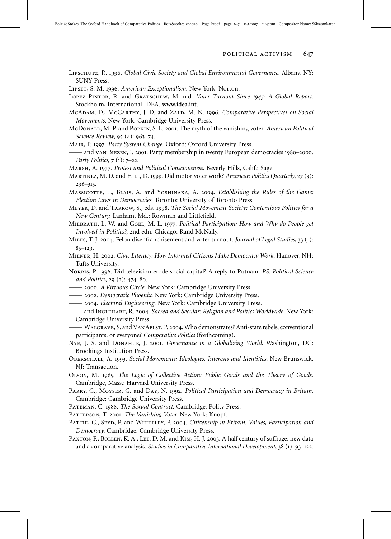| LIPSCHUTZ, R. 1996. Global Civic Society and Global Environmental Governance. Albany, NY:                                            |
|--------------------------------------------------------------------------------------------------------------------------------------|
| <b>SUNY Press.</b>                                                                                                                   |
| LIPSET, S. M. 1996. American Exceptionalism. New York: Norton.                                                                       |
| LOPEZ PINTOR, R. and GRATSCHEW, M. n.d. Voter Turnout Since 1945: A Global Report.                                                   |
| Stockholm, International IDEA. www.idea.int.                                                                                         |
| МсАDAM, D., McCARTHY, J. D. and ZALD, M. N. 1996. Comparative Perspectives on Social                                                 |
| Movements. New York: Cambridge University Press.                                                                                     |
| McDONALD, M. P. and POPKIN, S. L. 2001. The myth of the vanishing voter. American Political                                          |
| Science Review, 95 (4): 963-74.                                                                                                      |
| MAIR, P. 1997. Party System Change. Oxford: Oxford University Press.                                                                 |
| - and VAN BIEZEN, I. 2001. Party membership in twenty European democracies 1980-2000.                                                |
| Party Politics, $7(1)$ : $7-22$ .                                                                                                    |
| MARSH, A. 1977. Protest and Political Consciousness. Beverly Hills, Calif.: Sage.                                                    |
| MARTINEZ, M. D. and HILL, D. 1999. Did motor voter work? American Politics Quarterly, 27 (3):<br>$296 - 315.$                        |
| MASSICOTTE, L., BLAIS, A. and YOSHINAKA, A. 2004. Establishing the Rules of the Game:                                                |
| Election Laws in Democracies. Toronto: University of Toronto Press.                                                                  |
| MEYER, D. and TARROW, S., eds. 1998. The Social Movement Society: Contentious Politics for a                                         |
| New Century. Lanham, Md.: Rowman and Littlefield.                                                                                    |
| MILBRATH, L. W. and GOEL, M. L. 1977. Political Participation: How and Why do People get                                             |
| Involved in Politics?, 2nd edn. Chicago: Rand McNally.                                                                               |
| MILES, T. J. 2004. Felon disenfranchisement and voter turnout. Journal of Legal Studies, 33 (1):                                     |
| $85 - 129.$                                                                                                                          |
| MILNER, H. 2002. Civic Literacy: How Informed Citizens Make Democracy Work. Hanover, NH:<br>Tufts University.                        |
| NORRIS, P. 1996. Did television erode social capital? A reply to Putnam. PS: Political Science                                       |
| and Politics, 29 (3): 474-80.                                                                                                        |
| - 2000. A Virtuous Circle. New York: Cambridge University Press.                                                                     |
| - 2002. Democratic Phoenix. New York: Cambridge University Press.                                                                    |
| - 2004. Electoral Engineering. New York: Cambridge University Press.                                                                 |
| - and INGLEHART, R. 2004. Sacred and Secular: Religion and Politics Worldwide. New York:                                             |
| Cambridge University Press.                                                                                                          |
| - WALGRAVE, S. and VANAELST, P. 2004. Who demonstrates? Anti-state rebels, conventional                                              |
| participants, or everyone? Comparative Politics (forthcoming).                                                                       |
| NYE, J. S. and DONAHUE, J. 2001. Governance in a Globalizing World. Washington, DC:                                                  |
| Brookings Institution Press.                                                                                                         |
| OBERSCHALL, A. 1993. Social Movements: Ideologies, Interests and Identities. New Brunswick,                                          |
| NJ: Transaction.                                                                                                                     |
| OLSON, M. 1965. The Logic of Collective Action: Public Goods and the Theory of Goods.<br>Cambridge, Mass.: Harvard University Press. |
| PARRY, G., MOYSER, G. and DAY, N. 1992. Political Participation and Democracy in Britain.<br>Cambridge: Cambridge University Press.  |
| PATEMAN, C. 1988. The Sexual Contract. Cambridge: Polity Press.                                                                      |
| PATTERSON, T. 2001. The Vanishing Voter. New York: Knopf.                                                                            |
| PATTIE, C., SEYD, P. and WHITELEY, P. 2004. Citizenship in Britain: Values, Participation and                                        |
| Democracy. Cambridge: Cambridge University Press.                                                                                    |
| PAXTON, P., BOLLEN, K. A., LEE, D. M. and KIM, H. J. 2003. A half century of suffrage: new data                                      |
| and a comparative analysis. Studies in Comparative International Development, 38 (1): 93-122.                                        |
|                                                                                                                                      |
|                                                                                                                                      |
|                                                                                                                                      |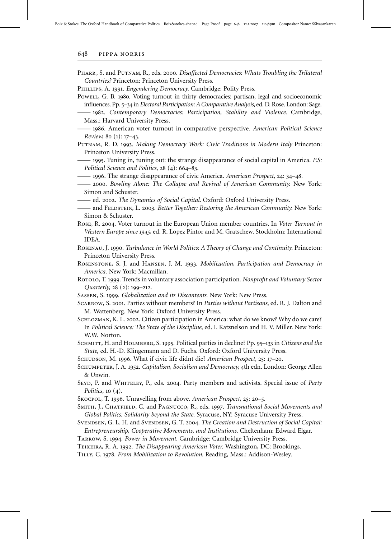#### 648 PIPPA NORRIS

PHARR, S. and PUTNAM, R., eds. 2000. Disaffected Democracies: Whats Troubling the Trilateral Countries? Princeton: Princeton University Press.

PHILLIPS, A. 1991. Engendering Democracy. Cambridge: Polity Press.

- POWELL, G. B. 1980. Voting turnout in thirty democracies: partisan, legal and socioeconomic influences. Pp. 5-34 in Electoral Participation: A Comparative Analysis, ed. D. Rose. London: Sage.
- 1982. Contemporary Democracies: Participation, Stability and Violence. Cambridge, Mass.: Harvard University Press.
- 1986. American voter turnout in comparative perspective. American Political Science Review, 80 (1): 17–43.
- PUTNAM, R. D. 1993. Making Democracy Work: Civic Traditions in Modern Italy Princeton: Princeton University Press.
- 1995. Tuning in, tuning out: the strange disappearance of social capital in America. P.S: Political Science and Politics, 28 (4): 664–83.
- 1996. The strange disappearance of civic America. American Prospect, 24: 34–48.
- 2000. Bowling Alone: The Collapse and Revival of American Community. New York: Simon and Schuster.
- ed. 2002. The Dynamics of Social Capital. Oxford: Oxford University Press.
- and FELDSTEIN, L. 2003. Better Together: Restoring the American Community. New York: Simon & Schuster.
- Rose, R. 2004. Voter turnout in the European Union member countries. In Voter Turnout in Western Europe since 1945, ed. R. Lopez Pintor and M. Gratschew. Stockholm: International IDEA.
- ROSENAU, J. 1990. Turbulance in World Politics: A Theory of Change and Continuity. Princeton: Princeton University Press.
- ROSENSTONE, S. J. and HANSEN, J. M. 1993. Mobilization, Participation and Democracy in America. New York: Macmillan.
- ROTOLO, T. 1999. Trends in voluntary association participation. Nonprofit and Voluntary Sector Quarterly, 28 (2): 199–212.
- SASSEN, S. 1999. Globalization and its Discontents. New York: New Press.
- SCARROW, S. 2001. Parties without members? In Parties without Partisans, ed. R. J. Dalton and M. Wattenberg. New York: Oxford University Press.
- SCHLOZMAN, K. L. 2002. Citizen participation in America: what do we know? Why do we care? In Political Science: The State of the Discipline, ed. I. Katznelson and H. V. Miller. New York: W.W. Norton.

SCHMITT, H. and HOLMBERG, S. 1995. Political parties in decline? Pp. 95-133 in Citizens and the State, ed. H.-D. Klingemann and D. Fuchs. Oxford: Oxford University Press.

- SCHUDSON, M. 1996. What if civic life didnt die? American Prospect, 25: 17–20.
- SCHUMPETER, J. A. 1952. Capitalism, Socialism and Democracy, 4th edn. London: George Allen & Unwin.
- SEYD, P. and WHITELEY, P., eds. 2004. Party members and activists. Special issue of Party Politics, 10  $(4)$ .
- SKOCPOL, T. 1996. Unravelling from above. American Prospect, 25: 20–5.
- SMITH, J., CHATFIELD, C. and PAGNUCCO, R., eds. 1997. Transnational Social Movements and Global Politics: Solidarity beyond the State. Syracuse, NY: Syracuse University Press.
- SVENDSEN, G. L. H. and SVENDSEN, G. T. 2004. The Creation and Destruction of Social Capital: Entrepreneurship, Cooperative Movements, and Institutions. Cheltenham: Edward Elgar.
- TARROW, S. 1994. Power in Movement. Cambridge: Cambridge University Press.

TEIXEIRA, R. A. 1992. The Disappearing American Voter. Washington, DC: Brookings.

TILLY, C. 1978. From Mobilization to Revolution. Reading, Mass.: Addison-Wesley.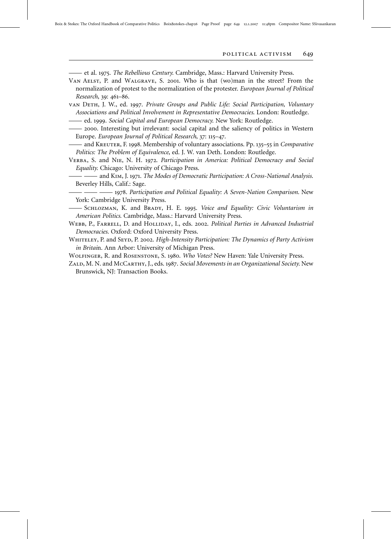—— et al. 1975. The Rebellious Century. Cambridge, Mass.: Harvard University Press.

- Van Aelst, P. and Walgrave, S. 2001. Who is that (wo)man in the street? From the normalization of protest to the normalization of the protester. European Journal of Political Research, 39: 461–86.
- van Deth, J. W., ed. 1997. Private Groups and Public Life: Social Participation, Voluntary Associations and Political Involvement in Representative Democracies. London: Routledge.
- ed. 1999. Social Capital and European Democracy. New York: Routledge.
- —— 2000. Interesting but irrelevant: social capital and the saliency of politics in Western Europe. European Journal of Political Research, 37: 115–47.
- and KREUTER, F. 1998. Membership of voluntary associations. Pp. 135-55 in Comparative Politics: The Problem of Equivalence, ed. J. W. van Deth. London: Routledge.
- Verba, S. and Nie, N. H. 1972. Participation in America: Political Democracy and Social Equality. Chicago: University of Chicago Press.
	- and KIM, J. 1971. The Modes of Democratic Participation: A Cross-National Analysis. Beverley Hills, Calif.: Sage.
	- 1978. Participation and Political Equality: A Seven-Nation Comparison. New York: Cambridge University Press.
- —— Schlozman, K. and Brady, H. E. 1995. Voice and Equality: Civic Voluntarism in American Politics. Cambridge, Mass.: Harvard University Press.
- Webb, P., Farrell, D. and Holliday, I., eds. 2002. Political Parties in Advanced Industrial Democracies. Oxford: Oxford University Press.
- WHITELEY, P. and SEYD, P. 2002. High-Intensity Participation: The Dynamics of Party Activism in Britain. Ann Arbor: University of Michigan Press.
- WOLFINGER, R. and ROSENSTONE, S. 1980. Who Votes? New Haven: Yale University Press.
- ZALD, M. N. and McCARTHY, J., eds. 1987. Social Movements in an Organizational Society. New Brunswick, NJ: Transaction Books.